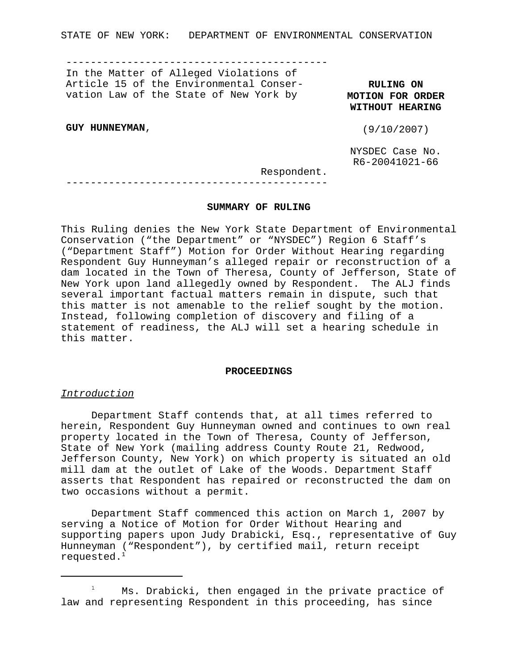STATE OF NEW YORK: DEPARTMENT OF ENVIRONMENTAL CONSERVATION

-------------------------------------------

In the Matter of Alleged Violations of Article 15 of the Environmental Conservation Law of the State of New York by

**RULING ON MOTION FOR ORDER WITHOUT HEARING**

**GUY HUNNEYMAN**,

(9/10/2007)

NYSDEC Case No. R6-20041021-66

Respondent.

# -------------------------------------------

### **SUMMARY OF RULING**

This Ruling denies the New York State Department of Environmental Conservation ("the Department" or "NYSDEC") Region 6 Staff's ("Department Staff") Motion for Order Without Hearing regarding Respondent Guy Hunneyman's alleged repair or reconstruction of a dam located in the Town of Theresa, County of Jefferson, State of New York upon land allegedly owned by Respondent. The ALJ finds several important factual matters remain in dispute, such that this matter is not amenable to the relief sought by the motion. Instead, following completion of discovery and filing of a statement of readiness, the ALJ will set a hearing schedule in this matter.

### **PROCEEDINGS**

### *Introduction*

Department Staff contends that, at all times referred to herein, Respondent Guy Hunneyman owned and continues to own real property located in the Town of Theresa, County of Jefferson, State of New York (mailing address County Route 21, Redwood, Jefferson County, New York) on which property is situated an old mill dam at the outlet of Lake of the Woods. Department Staff asserts that Respondent has repaired or reconstructed the dam on two occasions without a permit.

Department Staff commenced this action on March 1, 2007 by serving a Notice of Motion for Order Without Hearing and supporting papers upon Judy Drabicki, Esq., representative of Guy Hunneyman ("Respondent"), by certified mail, return receipt requested.<sup>1</sup>

 $1$  Ms. Drabicki, then engaged in the private practice of law and representing Respondent in this proceeding, has since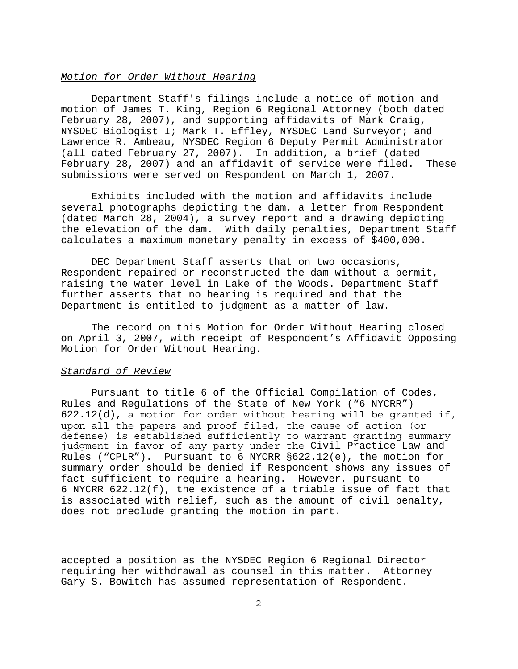## *Motion for Order Without Hearing*

Department Staff's filings include a notice of motion and motion of James T. King, Region 6 Regional Attorney (both dated February 28, 2007), and supporting affidavits of Mark Craig, NYSDEC Biologist I; Mark T. Effley, NYSDEC Land Surveyor; and Lawrence R. Ambeau, NYSDEC Region 6 Deputy Permit Administrator (all dated February 27, 2007). In addition, a brief (dated February 28, 2007) and an affidavit of service were filed. These submissions were served on Respondent on March 1, 2007.

Exhibits included with the motion and affidavits include several photographs depicting the dam, a letter from Respondent (dated March 28, 2004), a survey report and a drawing depicting the elevation of the dam. With daily penalties, Department Staff calculates a maximum monetary penalty in excess of \$400,000.

DEC Department Staff asserts that on two occasions, Respondent repaired or reconstructed the dam without a permit, raising the water level in Lake of the Woods. Department Staff further asserts that no hearing is required and that the Department is entitled to judgment as a matter of law.

The record on this Motion for Order Without Hearing closed on April 3, 2007, with receipt of Respondent's Affidavit Opposing Motion for Order Without Hearing.

# *Standard of Review*

Pursuant to title 6 of the Official Compilation of Codes, Rules and Regulations of the State of New York ("6 NYCRR") 622.12(d), a motion for order without hearing will be granted if, upon all the papers and proof filed, the cause of action (or defense) is established sufficiently to warrant granting summary judgment in favor of any party under the Civil Practice Law and Rules ("CPLR"). Pursuant to 6 NYCRR §622.12(e), the motion for summary order should be denied if Respondent shows any issues of fact sufficient to require a hearing. However, pursuant to 6 NYCRR 622.12(f), the existence of a triable issue of fact that is associated with relief, such as the amount of civil penalty, does not preclude granting the motion in part.

accepted a position as the NYSDEC Region 6 Regional Director requiring her withdrawal as counsel in this matter. Attorney Gary S. Bowitch has assumed representation of Respondent.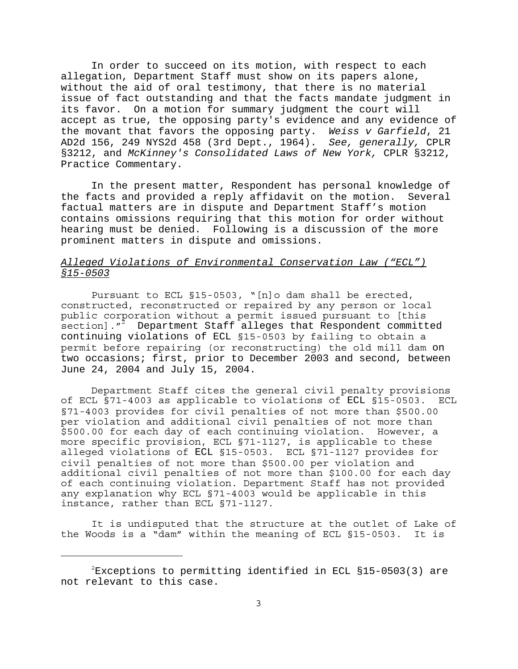In order to succeed on its motion, with respect to each allegation, Department Staff must show on its papers alone, without the aid of oral testimony, that there is no material issue of fact outstanding and that the facts mandate judgment in its favor. On a motion for summary judgment the court will accept as true, the opposing party's evidence and any evidence of the movant that favors the opposing party. *Weiss v Garfield*, 21 AD2d 156, 249 NYS2d 458 (3rd Dept., 1964). *See, generally,* CPLR §3212, and *McKinney's Consolidated Laws of New York,* CPLR §3212, Practice Commentary.

In the present matter, Respondent has personal knowledge of the facts and provided a reply affidavit on the motion. Several factual matters are in dispute and Department Staff's motion contains omissions requiring that this motion for order without hearing must be denied. Following is a discussion of the more prominent matters in dispute and omissions.

# *Alleged Violations of Environmental Conservation Law ("ECL") §15-0503*

Pursuant to ECL §15-0503, "[n]o dam shall be erected, constructed, reconstructed or repaired by any person or local public corporation without a permit issued pursuant to [this -<br>section]."<sup>2</sup> Department Staff alleges that Respondent committed continuing violations of ECL §15-0503 by failing to obtain a permit before repairing (or reconstructing) the old mill dam on two occasions; first, prior to December 2003 and second, between June 24, 2004 and July 15, 2004.

Department Staff cites the general civil penalty provisions of ECL §71-4003 as applicable to violations of ECL §15-0503. ECL §71-4003 provides for civil penalties of not more than \$500.00 per violation and additional civil penalties of not more than \$500.00 for each day of each continuing violation. However, a more specific provision, ECL §71-1127, is applicable to these alleged violations of ECL §15-0503. ECL §71-1127 provides for civil penalties of not more than \$500.00 per violation and additional civil penalties of not more than \$100.00 for each day of each continuing violation. Department Staff has not provided any explanation why ECL §71-4003 would be applicable in this instance, rather than ECL §71-1127.

It is undisputed that the structure at the outlet of Lake of the Woods is a "dam" within the meaning of ECL §15-0503. It is

 $2$ Exceptions to permitting identified in ECL §15-0503(3) are not relevant to this case.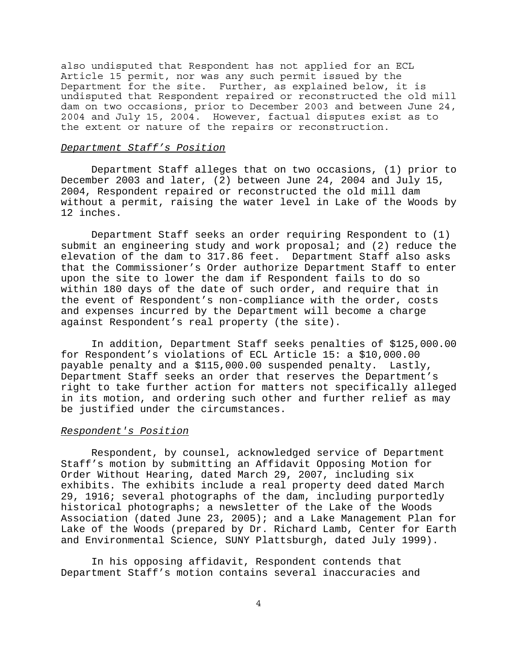also undisputed that Respondent has not applied for an ECL Article 15 permit, nor was any such permit issued by the Department for the site. Further, as explained below, it is undisputed that Respondent repaired or reconstructed the old mill dam on two occasions, prior to December 2003 and between June 24, 2004 and July 15, 2004. However, factual disputes exist as to the extent or nature of the repairs or reconstruction.

### *Department Staff's Position*

Department Staff alleges that on two occasions, (1) prior to December 2003 and later, (2) between June 24, 2004 and July 15, 2004, Respondent repaired or reconstructed the old mill dam without a permit, raising the water level in Lake of the Woods by 12 inches.

Department Staff seeks an order requiring Respondent to (1) submit an engineering study and work proposal; and (2) reduce the elevation of the dam to 317.86 feet. Department Staff also asks that the Commissioner's Order authorize Department Staff to enter upon the site to lower the dam if Respondent fails to do so within 180 days of the date of such order, and require that in the event of Respondent's non-compliance with the order, costs and expenses incurred by the Department will become a charge against Respondent's real property (the site).

In addition, Department Staff seeks penalties of \$125,000.00 for Respondent's violations of ECL Article 15: a \$10,000.00 payable penalty and a \$115,000.00 suspended penalty. Lastly, Department Staff seeks an order that reserves the Department's right to take further action for matters not specifically alleged in its motion, and ordering such other and further relief as may be justified under the circumstances.

### *Respondent's Position*

Respondent, by counsel, acknowledged service of Department Staff's motion by submitting an Affidavit Opposing Motion for Order Without Hearing, dated March 29, 2007, including six exhibits. The exhibits include a real property deed dated March 29, 1916; several photographs of the dam, including purportedly historical photographs; a newsletter of the Lake of the Woods Association (dated June 23, 2005); and a Lake Management Plan for Lake of the Woods (prepared by Dr. Richard Lamb, Center for Earth and Environmental Science, SUNY Plattsburgh, dated July 1999).

In his opposing affidavit, Respondent contends that Department Staff's motion contains several inaccuracies and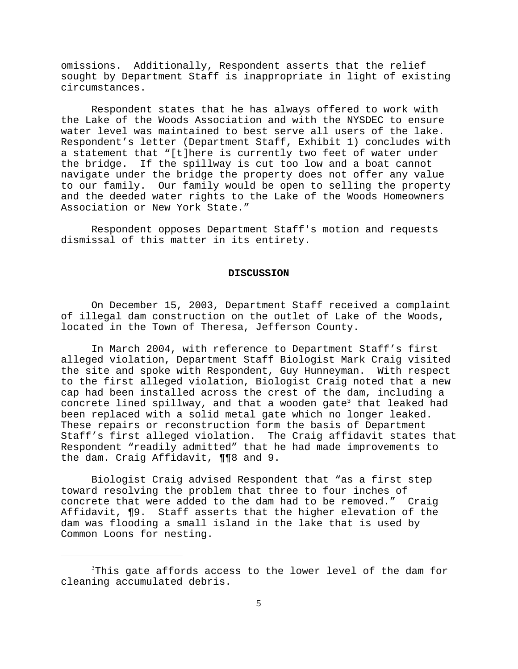omissions. Additionally, Respondent asserts that the relief sought by Department Staff is inappropriate in light of existing circumstances.

Respondent states that he has always offered to work with the Lake of the Woods Association and with the NYSDEC to ensure water level was maintained to best serve all users of the lake. Respondent's letter (Department Staff, Exhibit 1) concludes with a statement that "[t]here is currently two feet of water under the bridge. If the spillway is cut too low and a boat cannot navigate under the bridge the property does not offer any value to our family. Our family would be open to selling the property and the deeded water rights to the Lake of the Woods Homeowners Association or New York State."

Respondent opposes Department Staff's motion and requests dismissal of this matter in its entirety.

#### **DISCUSSION**

On December 15, 2003, Department Staff received a complaint of illegal dam construction on the outlet of Lake of the Woods, located in the Town of Theresa, Jefferson County.

In March 2004, with reference to Department Staff's first alleged violation, Department Staff Biologist Mark Craig visited the site and spoke with Respondent, Guy Hunneyman. With respect to the first alleged violation, Biologist Craig noted that a new cap had been installed across the crest of the dam, including a concrete lined spillway, and that a wooden gate<sup>3</sup> that leaked had been replaced with a solid metal gate which no longer leaked. These repairs or reconstruction form the basis of Department Staff's first alleged violation. The Craig affidavit states that Respondent "readily admitted" that he had made improvements to the dam. Craig Affidavit, ¶¶8 and 9.

Biologist Craig advised Respondent that "as a first step toward resolving the problem that three to four inches of concrete that were added to the dam had to be removed." Craig Affidavit, ¶9. Staff asserts that the higher elevation of the dam was flooding a small island in the lake that is used by Common Loons for nesting.

<sup>&</sup>lt;sup>3</sup>This gate affords access to the lower level of the dam for cleaning accumulated debris.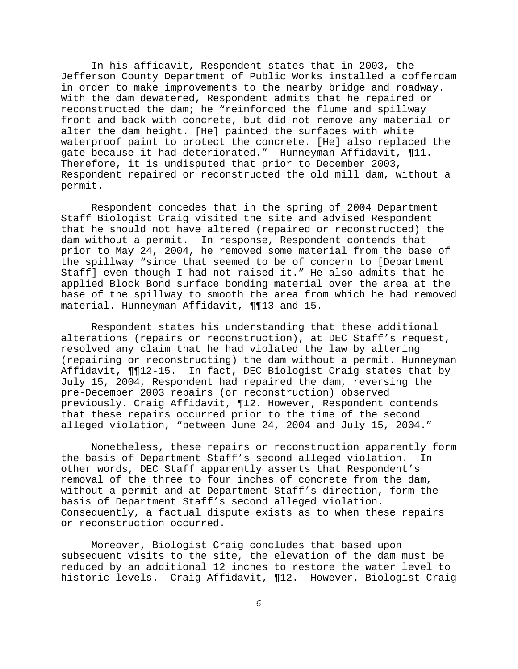In his affidavit, Respondent states that in 2003, the Jefferson County Department of Public Works installed a cofferdam in order to make improvements to the nearby bridge and roadway. With the dam dewatered, Respondent admits that he repaired or reconstructed the dam; he "reinforced the flume and spillway front and back with concrete, but did not remove any material or alter the dam height. [He] painted the surfaces with white waterproof paint to protect the concrete. [He] also replaced the gate because it had deteriorated." Hunneyman Affidavit, ¶11. Therefore, it is undisputed that prior to December 2003, Respondent repaired or reconstructed the old mill dam, without a permit.

Respondent concedes that in the spring of 2004 Department Staff Biologist Craig visited the site and advised Respondent that he should not have altered (repaired or reconstructed) the dam without a permit. In response, Respondent contends that prior to May 24, 2004, he removed some material from the base of the spillway "since that seemed to be of concern to [Department Staff] even though I had not raised it." He also admits that he applied Block Bond surface bonding material over the area at the base of the spillway to smooth the area from which he had removed material. Hunneyman Affidavit, ¶¶13 and 15.

Respondent states his understanding that these additional alterations (repairs or reconstruction), at DEC Staff's request, resolved any claim that he had violated the law by altering (repairing or reconstructing) the dam without a permit. Hunneyman Affidavit, ¶¶12-15. In fact, DEC Biologist Craig states that by July 15, 2004, Respondent had repaired the dam, reversing the pre-December 2003 repairs (or reconstruction) observed previously. Craig Affidavit, ¶12. However, Respondent contends that these repairs occurred prior to the time of the second alleged violation, "between June 24, 2004 and July 15, 2004."

Nonetheless, these repairs or reconstruction apparently form the basis of Department Staff's second alleged violation. In other words, DEC Staff apparently asserts that Respondent's removal of the three to four inches of concrete from the dam, without a permit and at Department Staff's direction, form the basis of Department Staff's second alleged violation. Consequently, a factual dispute exists as to when these repairs or reconstruction occurred.

Moreover, Biologist Craig concludes that based upon subsequent visits to the site, the elevation of the dam must be reduced by an additional 12 inches to restore the water level to historic levels. Craig Affidavit, ¶12. However, Biologist Craig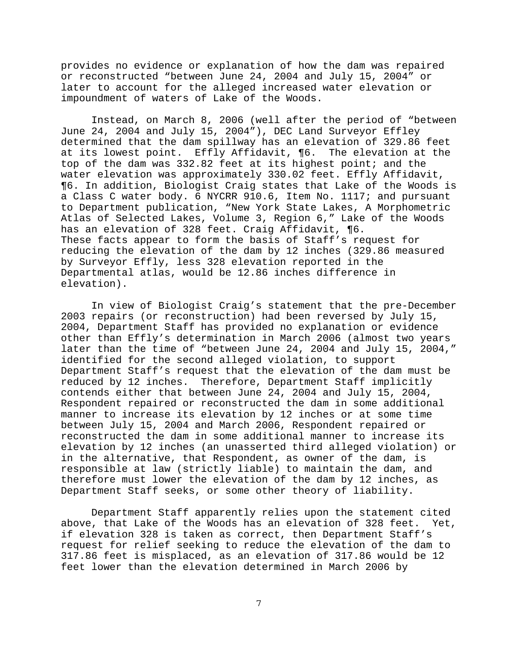provides no evidence or explanation of how the dam was repaired or reconstructed "between June 24, 2004 and July 15, 2004" or later to account for the alleged increased water elevation or impoundment of waters of Lake of the Woods.

Instead, on March 8, 2006 (well after the period of "between June 24, 2004 and July 15, 2004"), DEC Land Surveyor Effley determined that the dam spillway has an elevation of 329.86 feet at its lowest point. Effly Affidavit, ¶6. The elevation at the top of the dam was 332.82 feet at its highest point; and the water elevation was approximately 330.02 feet. Effly Affidavit, ¶6. In addition, Biologist Craig states that Lake of the Woods is a Class C water body. 6 NYCRR 910.6, Item No. 1117; and pursuant to Department publication, "New York State Lakes, A Morphometric Atlas of Selected Lakes, Volume 3, Region 6," Lake of the Woods has an elevation of 328 feet. Craig Affidavit, ¶6. These facts appear to form the basis of Staff's request for reducing the elevation of the dam by 12 inches (329.86 measured by Surveyor Effly, less 328 elevation reported in the Departmental atlas, would be 12.86 inches difference in elevation).

In view of Biologist Craig's statement that the pre-December 2003 repairs (or reconstruction) had been reversed by July 15, 2004, Department Staff has provided no explanation or evidence other than Effly's determination in March 2006 (almost two years later than the time of "between June 24, 2004 and July 15, 2004," identified for the second alleged violation, to support Department Staff's request that the elevation of the dam must be reduced by 12 inches. Therefore, Department Staff implicitly contends either that between June 24, 2004 and July 15, 2004, Respondent repaired or reconstructed the dam in some additional manner to increase its elevation by 12 inches or at some time between July 15, 2004 and March 2006, Respondent repaired or reconstructed the dam in some additional manner to increase its elevation by 12 inches (an unasserted third alleged violation) or in the alternative, that Respondent, as owner of the dam, is responsible at law (strictly liable) to maintain the dam, and therefore must lower the elevation of the dam by 12 inches, as Department Staff seeks, or some other theory of liability.

Department Staff apparently relies upon the statement cited above, that Lake of the Woods has an elevation of 328 feet. Yet, if elevation 328 is taken as correct, then Department Staff's request for relief seeking to reduce the elevation of the dam to 317.86 feet is misplaced, as an elevation of 317.86 would be 12 feet lower than the elevation determined in March 2006 by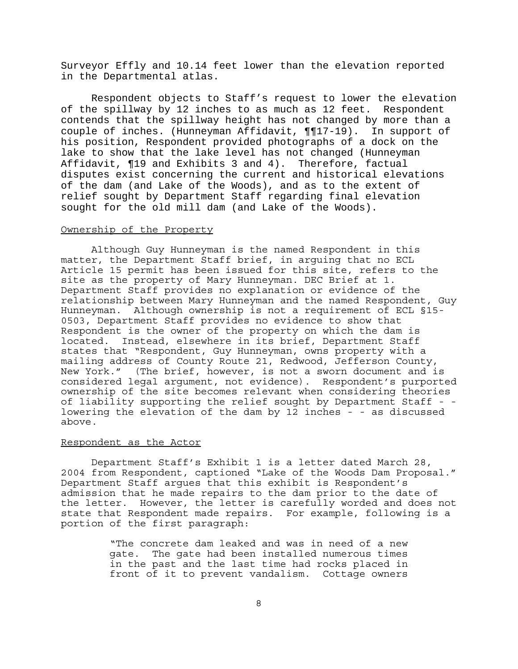Surveyor Effly and 10.14 feet lower than the elevation reported in the Departmental atlas.

Respondent objects to Staff's request to lower the elevation of the spillway by 12 inches to as much as 12 feet. Respondent contends that the spillway height has not changed by more than a couple of inches. (Hunneyman Affidavit, ¶¶17-19). In support of his position, Respondent provided photographs of a dock on the lake to show that the lake level has not changed (Hunneyman Affidavit, ¶19 and Exhibits 3 and 4). Therefore, factual disputes exist concerning the current and historical elevations of the dam (and Lake of the Woods), and as to the extent of relief sought by Department Staff regarding final elevation sought for the old mill dam (and Lake of the Woods).

#### Ownership of the Property

Although Guy Hunneyman is the named Respondent in this matter, the Department Staff brief, in arguing that no ECL Article 15 permit has been issued for this site, refers to the site as the property of Mary Hunneyman. DEC Brief at 1. Department Staff provides no explanation or evidence of the relationship between Mary Hunneyman and the named Respondent, Guy Hunneyman. Although ownership is not a requirement of ECL §15- 0503, Department Staff provides no evidence to show that Respondent is the owner of the property on which the dam is located. Instead, elsewhere in its brief, Department Staff states that "Respondent, Guy Hunneyman, owns property with a mailing address of County Route 21, Redwood, Jefferson County, New York." (The brief, however, is not a sworn document and is considered legal argument, not evidence). Respondent's purported ownership of the site becomes relevant when considering theories of liability supporting the relief sought by Department Staff - lowering the elevation of the dam by 12 inches - - as discussed above.

### Respondent as the Actor

Department Staff's Exhibit 1 is a letter dated March 28, 2004 from Respondent, captioned "Lake of the Woods Dam Proposal." Department Staff argues that this exhibit is Respondent's admission that he made repairs to the dam prior to the date of the letter. However, the letter is carefully worded and does not state that Respondent made repairs. For example, following is a portion of the first paragraph:

> "The concrete dam leaked and was in need of a new gate. The gate had been installed numerous times in the past and the last time had rocks placed in front of it to prevent vandalism. Cottage owners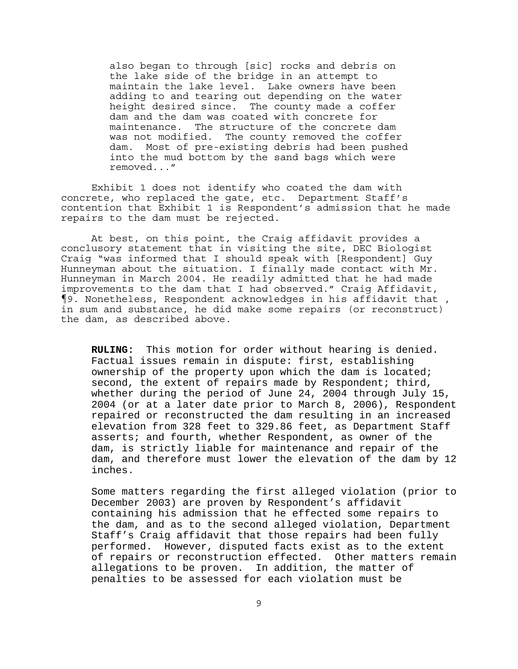also began to through [sic] rocks and debris on the lake side of the bridge in an attempt to maintain the lake level. Lake owners have been adding to and tearing out depending on the water height desired since. The county made a coffer dam and the dam was coated with concrete for maintenance. The structure of the concrete dam was not modified. The county removed the coffer dam. Most of pre-existing debris had been pushed into the mud bottom by the sand bags which were removed..."

Exhibit 1 does not identify who coated the dam with concrete, who replaced the gate, etc. Department Staff's contention that Exhibit 1 is Respondent's admission that he made repairs to the dam must be rejected.

At best, on this point, the Craig affidavit provides a conclusory statement that in visiting the site, DEC Biologist Craig "was informed that I should speak with [Respondent] Guy Hunneyman about the situation. I finally made contact with Mr. Hunneyman in March 2004. He readily admitted that he had made improvements to the dam that I had observed." Craig Affidavit, ¶9. Nonetheless, Respondent acknowledges in his affidavit that , in sum and substance, he did make some repairs (or reconstruct) the dam, as described above.

**RULING:** This motion for order without hearing is denied. Factual issues remain in dispute: first, establishing ownership of the property upon which the dam is located; second, the extent of repairs made by Respondent; third, whether during the period of June 24, 2004 through July 15, 2004 (or at a later date prior to March 8, 2006), Respondent repaired or reconstructed the dam resulting in an increased elevation from 328 feet to 329.86 feet, as Department Staff asserts; and fourth, whether Respondent, as owner of the dam, is strictly liable for maintenance and repair of the dam, and therefore must lower the elevation of the dam by 12 inches.

Some matters regarding the first alleged violation (prior to December 2003) are proven by Respondent's affidavit containing his admission that he effected some repairs to the dam, and as to the second alleged violation, Department Staff's Craig affidavit that those repairs had been fully performed. However, disputed facts exist as to the extent of repairs or reconstruction effected. Other matters remain allegations to be proven. In addition, the matter of penalties to be assessed for each violation must be